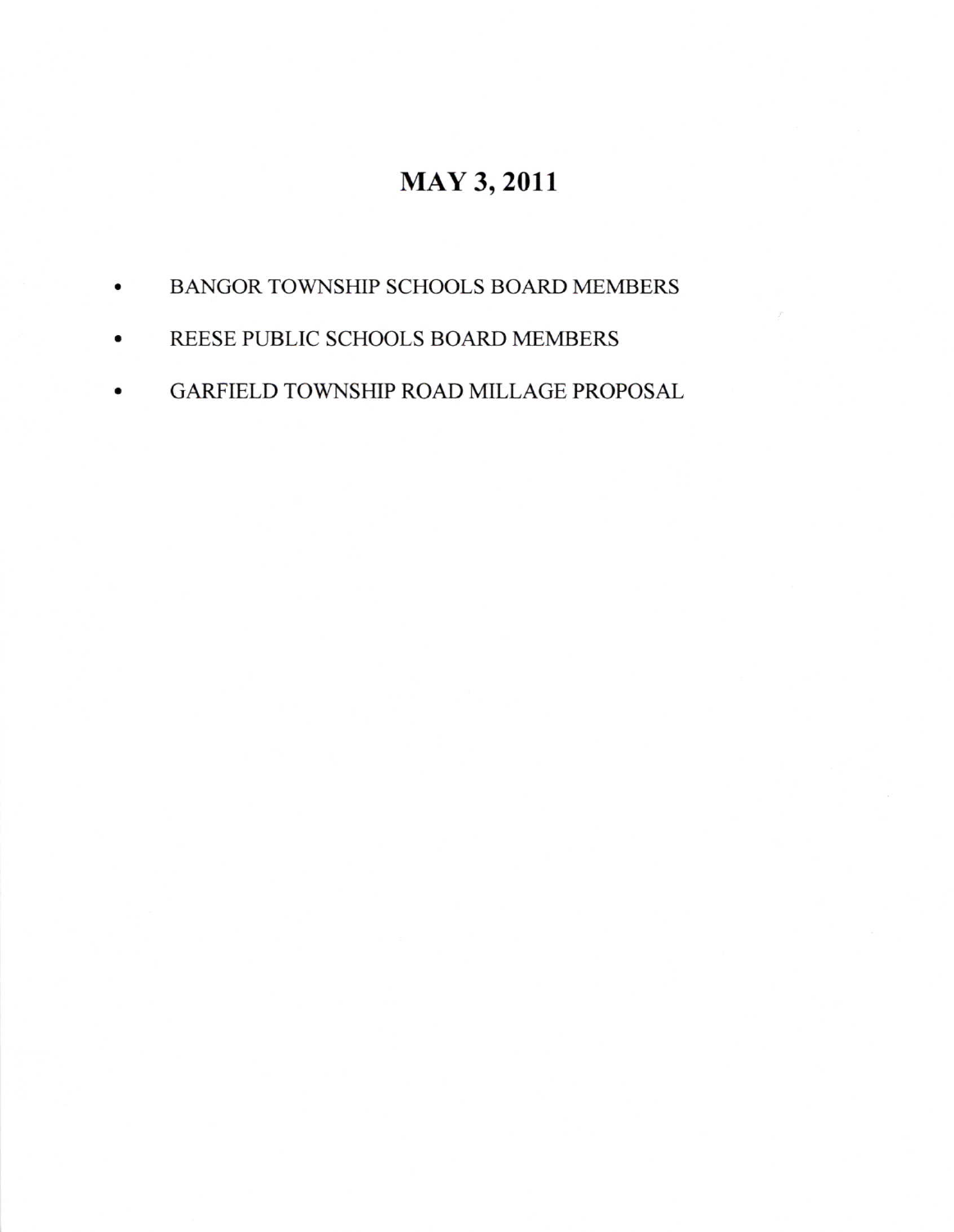## MAY 3,2011

- a BANGOR TOWNSHIP SCHOOLS BOARD MEMBERS
- a REESE PUBLIC SCHOOLS BOARD MEMBERS
- a GARFIELD TOWNSHIP ROAD MILLAGE PROPOSAL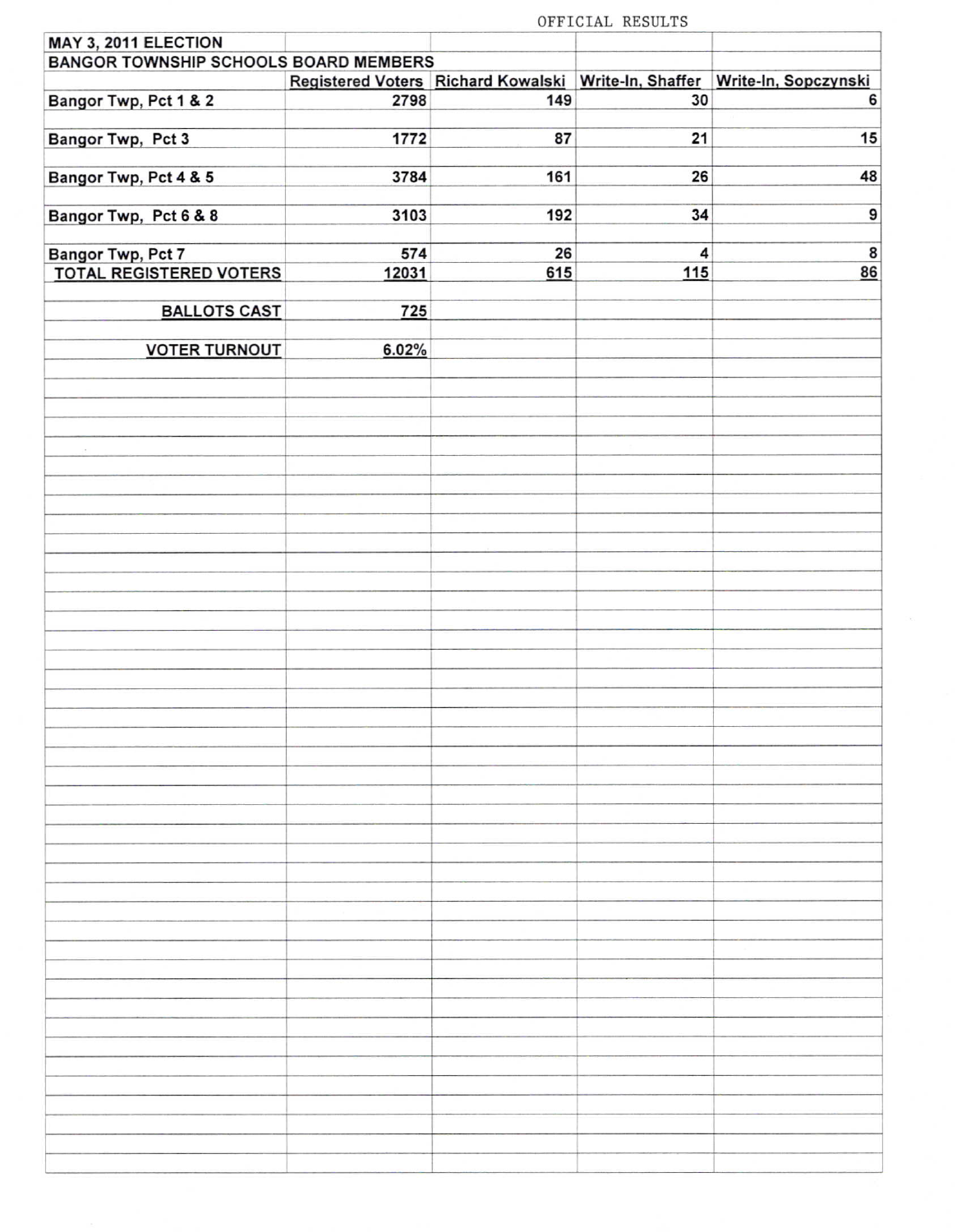OFFICIAL RESULTS

| MAY 3, 2011 ELECTION                         |       |                                                      | ALLIATUD MOADING |                                           |
|----------------------------------------------|-------|------------------------------------------------------|------------------|-------------------------------------------|
| <b>BANGOR TOWNSHIP SCHOOLS BOARD MEMBERS</b> |       |                                                      |                  |                                           |
|                                              |       | Registered Voters Richard Kowalski Write-In, Shaffer |                  | Write-In, Sopczynski                      |
|                                              |       |                                                      |                  | 6                                         |
| Bangor Twp, Pct 1 & 2                        | 2798  | 149                                                  | 30               |                                           |
|                                              |       |                                                      |                  |                                           |
| Bangor Twp, Pct 3                            | 1772  | 87                                                   | 21               | 15                                        |
|                                              |       |                                                      |                  |                                           |
| Bangor Twp, Pct 4 & 5                        | 3784  | 161                                                  | 26               | 48                                        |
|                                              |       |                                                      |                  |                                           |
| Bangor Twp, Pct 6 & 8                        | 3103  | 192                                                  | 34               | $\overline{\mathbf{9}}$                   |
|                                              |       |                                                      |                  |                                           |
| <b>Bangor Twp, Pct 7</b>                     | 574   | 26                                                   | $\pmb{4}$        | $\begin{array}{c}\n 8 \\ 86\n\end{array}$ |
| <b>TOTAL REGISTERED VOTERS</b>               | 12031 | 615                                                  | 115              |                                           |
|                                              |       |                                                      |                  |                                           |
| <b>BALLOTS CAST</b>                          | 725   |                                                      |                  |                                           |
|                                              |       |                                                      |                  |                                           |
| <b>VOTER TURNOUT</b>                         | 6.02% |                                                      |                  |                                           |
|                                              |       |                                                      |                  |                                           |
|                                              |       |                                                      |                  |                                           |
|                                              |       |                                                      |                  |                                           |
|                                              |       |                                                      |                  |                                           |
|                                              |       |                                                      |                  |                                           |
|                                              |       |                                                      |                  |                                           |
|                                              |       |                                                      |                  |                                           |
|                                              |       |                                                      |                  |                                           |
|                                              |       |                                                      |                  |                                           |
|                                              |       |                                                      |                  |                                           |
|                                              |       |                                                      |                  |                                           |
|                                              |       |                                                      |                  |                                           |
|                                              |       |                                                      |                  |                                           |
|                                              |       |                                                      |                  |                                           |
|                                              |       |                                                      |                  |                                           |
|                                              |       |                                                      |                  |                                           |
|                                              |       |                                                      |                  |                                           |
|                                              |       |                                                      |                  |                                           |
|                                              |       |                                                      |                  |                                           |
|                                              |       |                                                      |                  |                                           |
|                                              |       |                                                      |                  |                                           |
|                                              |       |                                                      |                  |                                           |
|                                              |       |                                                      |                  |                                           |
|                                              |       |                                                      |                  |                                           |
|                                              |       |                                                      |                  |                                           |
|                                              |       |                                                      |                  |                                           |
|                                              |       |                                                      |                  |                                           |
|                                              |       |                                                      |                  |                                           |
|                                              |       |                                                      |                  |                                           |
|                                              |       |                                                      |                  |                                           |
|                                              |       |                                                      |                  |                                           |
|                                              |       |                                                      |                  |                                           |
|                                              |       |                                                      |                  |                                           |
|                                              |       |                                                      |                  |                                           |
|                                              |       |                                                      |                  |                                           |
|                                              |       |                                                      |                  |                                           |
|                                              |       |                                                      |                  |                                           |
|                                              |       |                                                      |                  |                                           |
|                                              |       |                                                      |                  |                                           |
|                                              |       |                                                      |                  |                                           |
|                                              |       |                                                      |                  |                                           |
|                                              |       |                                                      |                  |                                           |
|                                              |       |                                                      |                  |                                           |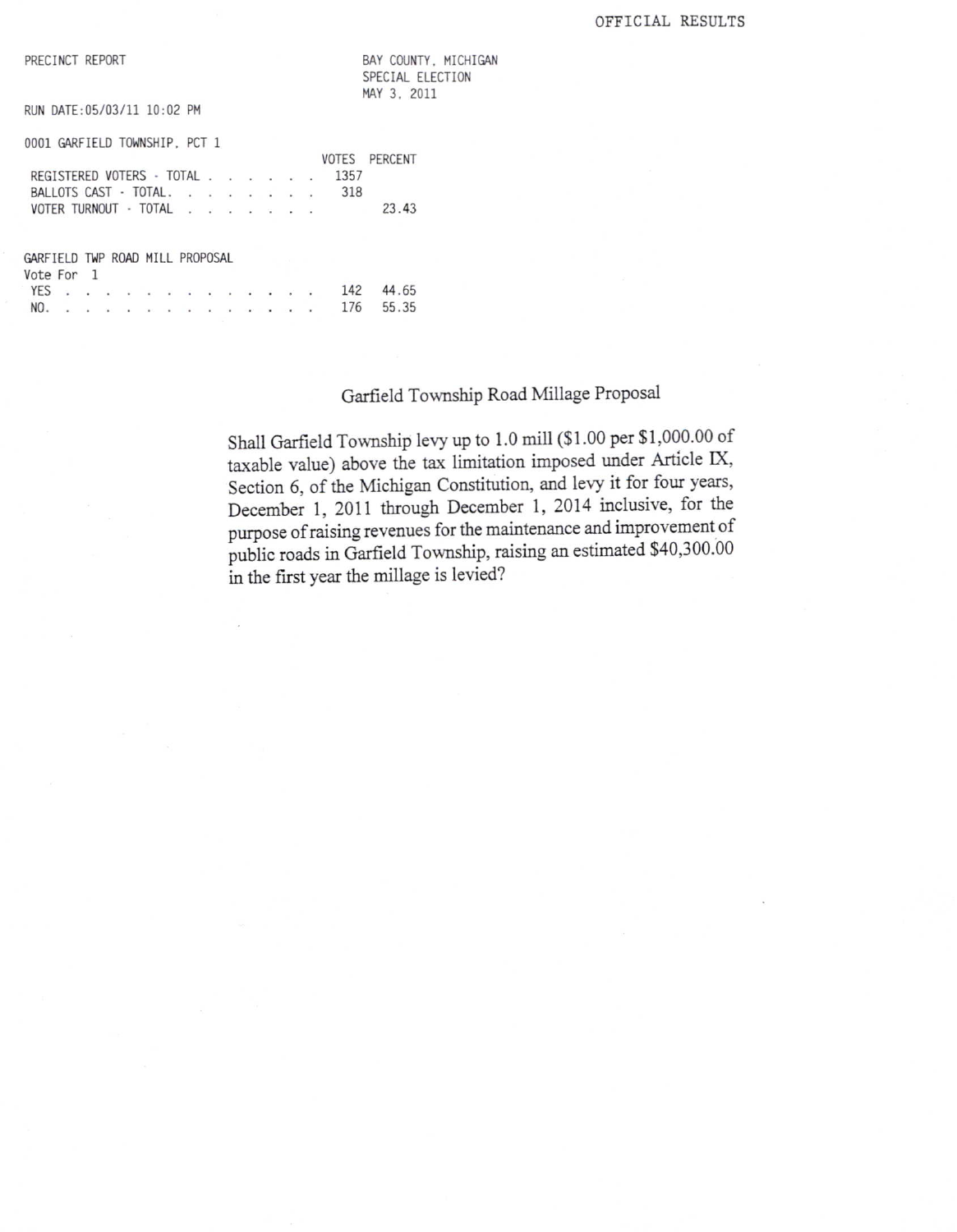PRECINCT REPORT

BAY COUNTY, MICHIGAN SPECIAL ELECTION MAY 3, 2011

RUN DATE: 05/03/11 10:02 PM

0001 GARFIELD TOWNSHIP, PCT 1

|                                 |              |  |  |                                                          |  |  |                                                                                                                    | VOTES | PERCENT |
|---------------------------------|--------------|--|--|----------------------------------------------------------|--|--|--------------------------------------------------------------------------------------------------------------------|-------|---------|
|                                 |              |  |  | REGISTERED VOTERS - TOTAL                                |  |  |                                                                                                                    | 1357  |         |
|                                 |              |  |  | BALLOTS CAST - TOTAL.                                    |  |  |                                                                                                                    | 318   |         |
|                                 |              |  |  | VOTER TURNOUT - TOTAL                                    |  |  |                                                                                                                    |       | 23.43   |
|                                 |              |  |  |                                                          |  |  |                                                                                                                    |       |         |
|                                 |              |  |  |                                                          |  |  |                                                                                                                    |       |         |
| GARFIELD TWP ROAD MILL PROPOSAL |              |  |  |                                                          |  |  |                                                                                                                    |       |         |
| Vote For                        | $\mathbf{1}$ |  |  |                                                          |  |  |                                                                                                                    |       |         |
| <b>YES</b>                      |              |  |  | $\mathbf{A}=\mathbf{A}+\mathbf{A}+\mathbf{A}+\mathbf{A}$ |  |  | $\begin{array}{ccccccccccccccccc} \bullet & \bullet & \bullet & \bullet & \bullet & \bullet & \bullet \end{array}$ | 142   | 44.65   |
| NO.                             |              |  |  |                                                          |  |  |                                                                                                                    | 176   | 55.35   |
|                                 |              |  |  |                                                          |  |  |                                                                                                                    |       |         |

## Garfield Township Road Millage Proposal

Shall Garfield Township levy up to 1.0 mill (\$1.00 per \$1,000.00 of taxable value) above the tax limitation imposed under Article IX, Section 6, of the Michigan Constitution, and levy it for four years, December 1, 2011 through December 1, 2014 inclusive, for the purpose of raising revenues for the maintenance and improvement of public roads in Garfield Township, raising an estimated \$40,300.00 in the first year the millage is levied?